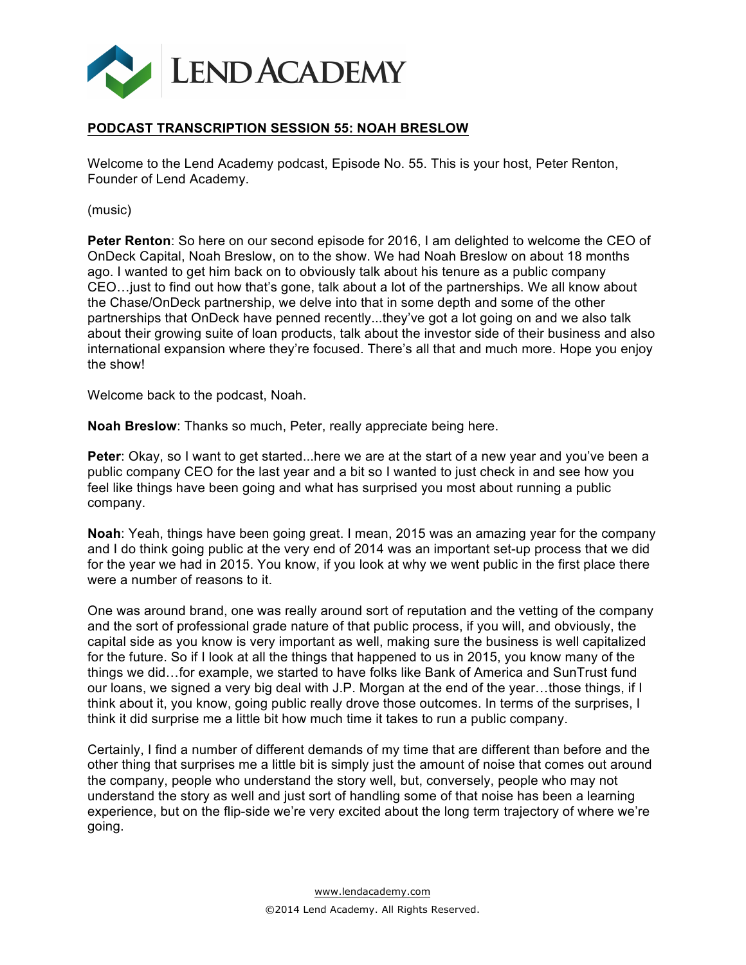

# **PODCAST TRANSCRIPTION SESSION 55: NOAH BRESLOW**

Welcome to the Lend Academy podcast, Episode No. 55. This is your host, Peter Renton, Founder of Lend Academy.

(music)

**Peter Renton**: So here on our second episode for 2016, I am delighted to welcome the CEO of OnDeck Capital, Noah Breslow, on to the show. We had Noah Breslow on about 18 months ago. I wanted to get him back on to obviously talk about his tenure as a public company CEO…just to find out how that's gone, talk about a lot of the partnerships. We all know about the Chase/OnDeck partnership, we delve into that in some depth and some of the other partnerships that OnDeck have penned recently...they've got a lot going on and we also talk about their growing suite of loan products, talk about the investor side of their business and also international expansion where they're focused. There's all that and much more. Hope you enjoy the show!

Welcome back to the podcast, Noah.

**Noah Breslow**: Thanks so much, Peter, really appreciate being here.

**Peter**: Okay, so I want to get started...here we are at the start of a new year and you've been a public company CEO for the last year and a bit so I wanted to just check in and see how you feel like things have been going and what has surprised you most about running a public company.

**Noah**: Yeah, things have been going great. I mean, 2015 was an amazing year for the company and I do think going public at the very end of 2014 was an important set-up process that we did for the year we had in 2015. You know, if you look at why we went public in the first place there were a number of reasons to it.

One was around brand, one was really around sort of reputation and the vetting of the company and the sort of professional grade nature of that public process, if you will, and obviously, the capital side as you know is very important as well, making sure the business is well capitalized for the future. So if I look at all the things that happened to us in 2015, you know many of the things we did…for example, we started to have folks like Bank of America and SunTrust fund our loans, we signed a very big deal with J.P. Morgan at the end of the year…those things, if I think about it, you know, going public really drove those outcomes. In terms of the surprises, I think it did surprise me a little bit how much time it takes to run a public company.

Certainly, I find a number of different demands of my time that are different than before and the other thing that surprises me a little bit is simply just the amount of noise that comes out around the company, people who understand the story well, but, conversely, people who may not understand the story as well and just sort of handling some of that noise has been a learning experience, but on the flip-side we're very excited about the long term trajectory of where we're going.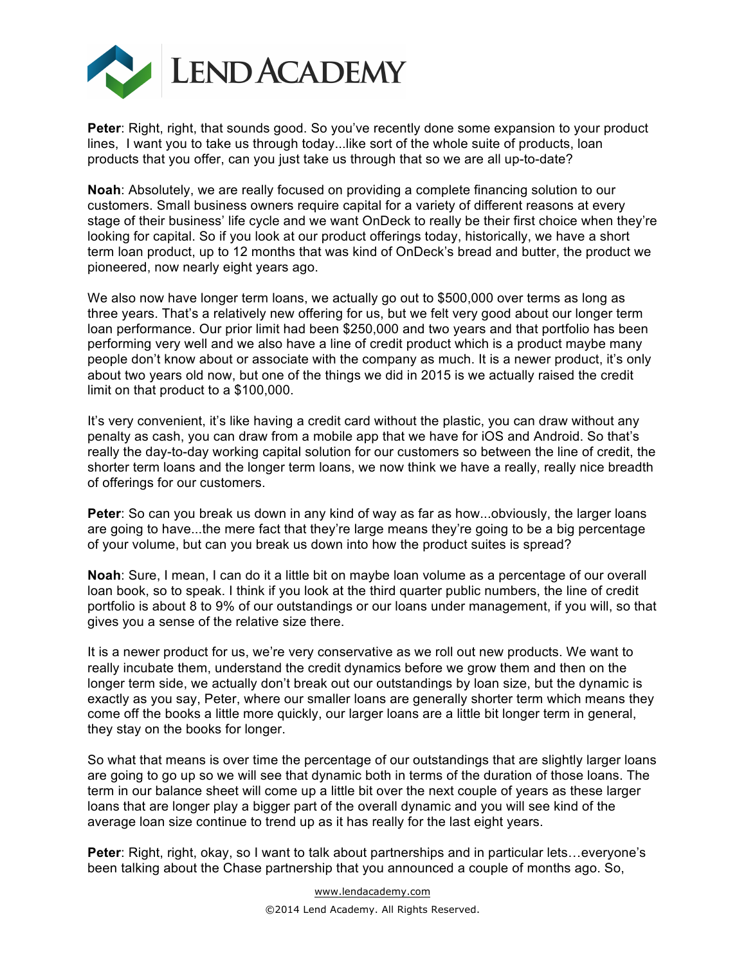

**Peter:** Right, right, that sounds good. So you've recently done some expansion to your product lines, I want you to take us through today...like sort of the whole suite of products, loan products that you offer, can you just take us through that so we are all up-to-date?

**Noah**: Absolutely, we are really focused on providing a complete financing solution to our customers. Small business owners require capital for a variety of different reasons at every stage of their business' life cycle and we want OnDeck to really be their first choice when they're looking for capital. So if you look at our product offerings today, historically, we have a short term loan product, up to 12 months that was kind of OnDeck's bread and butter, the product we pioneered, now nearly eight years ago.

We also now have longer term loans, we actually go out to \$500,000 over terms as long as three years. That's a relatively new offering for us, but we felt very good about our longer term loan performance. Our prior limit had been \$250,000 and two years and that portfolio has been performing very well and we also have a line of credit product which is a product maybe many people don't know about or associate with the company as much. It is a newer product, it's only about two years old now, but one of the things we did in 2015 is we actually raised the credit limit on that product to a \$100,000.

It's very convenient, it's like having a credit card without the plastic, you can draw without any penalty as cash, you can draw from a mobile app that we have for iOS and Android. So that's really the day-to-day working capital solution for our customers so between the line of credit, the shorter term loans and the longer term loans, we now think we have a really, really nice breadth of offerings for our customers.

**Peter**: So can you break us down in any kind of way as far as how...obviously, the larger loans are going to have...the mere fact that they're large means they're going to be a big percentage of your volume, but can you break us down into how the product suites is spread?

**Noah**: Sure, I mean, I can do it a little bit on maybe loan volume as a percentage of our overall loan book, so to speak. I think if you look at the third quarter public numbers, the line of credit portfolio is about 8 to 9% of our outstandings or our loans under management, if you will, so that gives you a sense of the relative size there.

It is a newer product for us, we're very conservative as we roll out new products. We want to really incubate them, understand the credit dynamics before we grow them and then on the longer term side, we actually don't break out our outstandings by loan size, but the dynamic is exactly as you say, Peter, where our smaller loans are generally shorter term which means they come off the books a little more quickly, our larger loans are a little bit longer term in general, they stay on the books for longer.

So what that means is over time the percentage of our outstandings that are slightly larger loans are going to go up so we will see that dynamic both in terms of the duration of those loans. The term in our balance sheet will come up a little bit over the next couple of years as these larger loans that are longer play a bigger part of the overall dynamic and you will see kind of the average loan size continue to trend up as it has really for the last eight years.

**Peter**: Right, right, okay, so I want to talk about partnerships and in particular lets…everyone's been talking about the Chase partnership that you announced a couple of months ago. So,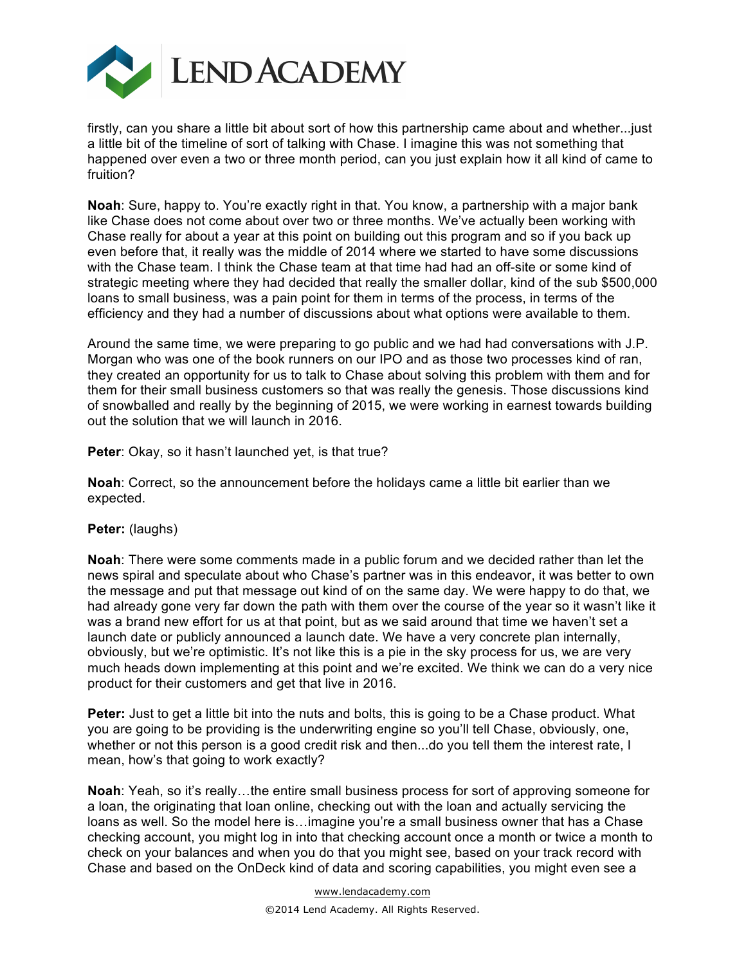

firstly, can you share a little bit about sort of how this partnership came about and whether...just a little bit of the timeline of sort of talking with Chase. I imagine this was not something that happened over even a two or three month period, can you just explain how it all kind of came to fruition?

**Noah**: Sure, happy to. You're exactly right in that. You know, a partnership with a major bank like Chase does not come about over two or three months. We've actually been working with Chase really for about a year at this point on building out this program and so if you back up even before that, it really was the middle of 2014 where we started to have some discussions with the Chase team. I think the Chase team at that time had had an off-site or some kind of strategic meeting where they had decided that really the smaller dollar, kind of the sub \$500,000 loans to small business, was a pain point for them in terms of the process, in terms of the efficiency and they had a number of discussions about what options were available to them.

Around the same time, we were preparing to go public and we had had conversations with J.P. Morgan who was one of the book runners on our IPO and as those two processes kind of ran, they created an opportunity for us to talk to Chase about solving this problem with them and for them for their small business customers so that was really the genesis. Those discussions kind of snowballed and really by the beginning of 2015, we were working in earnest towards building out the solution that we will launch in 2016.

**Peter**: Okay, so it hasn't launched yet, is that true?

**Noah**: Correct, so the announcement before the holidays came a little bit earlier than we expected.

# **Peter:** (laughs)

**Noah**: There were some comments made in a public forum and we decided rather than let the news spiral and speculate about who Chase's partner was in this endeavor, it was better to own the message and put that message out kind of on the same day. We were happy to do that, we had already gone very far down the path with them over the course of the year so it wasn't like it was a brand new effort for us at that point, but as we said around that time we haven't set a launch date or publicly announced a launch date. We have a very concrete plan internally, obviously, but we're optimistic. It's not like this is a pie in the sky process for us, we are very much heads down implementing at this point and we're excited. We think we can do a very nice product for their customers and get that live in 2016.

**Peter:** Just to get a little bit into the nuts and bolts, this is going to be a Chase product. What you are going to be providing is the underwriting engine so you'll tell Chase, obviously, one, whether or not this person is a good credit risk and then...do you tell them the interest rate, I mean, how's that going to work exactly?

**Noah**: Yeah, so it's really…the entire small business process for sort of approving someone for a loan, the originating that loan online, checking out with the loan and actually servicing the loans as well. So the model here is…imagine you're a small business owner that has a Chase checking account, you might log in into that checking account once a month or twice a month to check on your balances and when you do that you might see, based on your track record with Chase and based on the OnDeck kind of data and scoring capabilities, you might even see a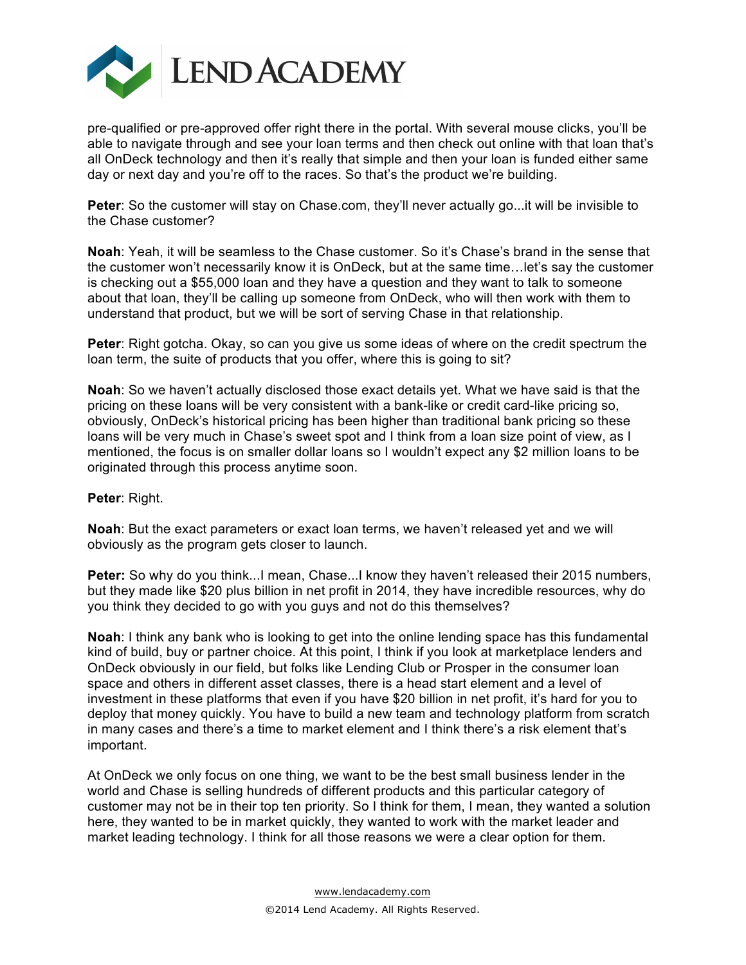

pre-qualified or pre-approved offer right there in the portal. With several mouse clicks, you'll be able to navigate through and see your loan terms and then check out online with that loan that's all OnDeck technology and then it's really that simple and then your loan is funded either same day or next day and you're off to the races. So that's the product we're building.

**Peter**: So the customer will stay on Chase.com, they'll never actually go...it will be invisible to the Chase customer?

**Noah**: Yeah, it will be seamless to the Chase customer. So it's Chase's brand in the sense that the customer won't necessarily know it is OnDeck, but at the same time…let's say the customer is checking out a \$55,000 loan and they have a question and they want to talk to someone about that loan, they'll be calling up someone from OnDeck, who will then work with them to understand that product, but we will be sort of serving Chase in that relationship.

**Peter**: Right gotcha. Okay, so can you give us some ideas of where on the credit spectrum the loan term, the suite of products that you offer, where this is going to sit?

**Noah**: So we haven't actually disclosed those exact details yet. What we have said is that the pricing on these loans will be very consistent with a bank-like or credit card-like pricing so, obviously, OnDeck's historical pricing has been higher than traditional bank pricing so these loans will be very much in Chase's sweet spot and I think from a loan size point of view, as I mentioned, the focus is on smaller dollar loans so I wouldn't expect any \$2 million loans to be originated through this process anytime soon.

#### **Peter**: Right.

**Noah**: But the exact parameters or exact loan terms, we haven't released yet and we will obviously as the program gets closer to launch.

**Peter:** So why do you think...I mean, Chase...I know they haven't released their 2015 numbers, but they made like \$20 plus billion in net profit in 2014, they have incredible resources, why do you think they decided to go with you guys and not do this themselves?

**Noah**: I think any bank who is looking to get into the online lending space has this fundamental kind of build, buy or partner choice. At this point, I think if you look at marketplace lenders and OnDeck obviously in our field, but folks like Lending Club or Prosper in the consumer loan space and others in different asset classes, there is a head start element and a level of investment in these platforms that even if you have \$20 billion in net profit, it's hard for you to deploy that money quickly. You have to build a new team and technology platform from scratch in many cases and there's a time to market element and I think there's a risk element that's important.

At OnDeck we only focus on one thing, we want to be the best small business lender in the world and Chase is selling hundreds of different products and this particular category of customer may not be in their top ten priority. So I think for them, I mean, they wanted a solution here, they wanted to be in market quickly, they wanted to work with the market leader and market leading technology. I think for all those reasons we were a clear option for them.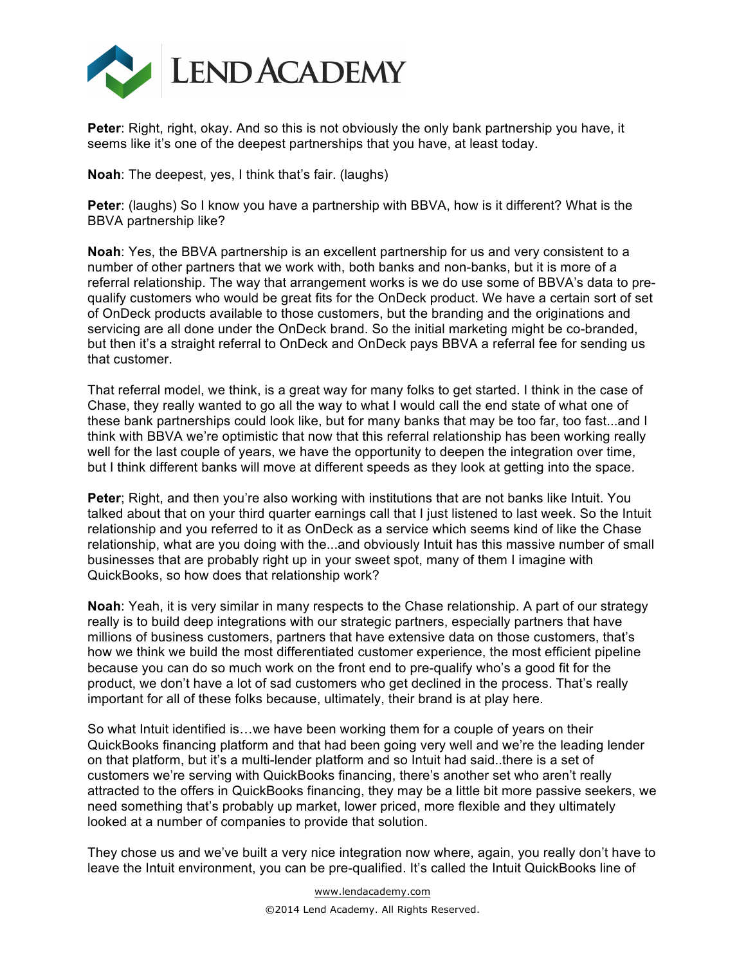

**Peter**: Right, right, okay. And so this is not obviously the only bank partnership you have, it seems like it's one of the deepest partnerships that you have, at least today.

**Noah**: The deepest, yes, I think that's fair. (laughs)

**Peter**: (laughs) So I know you have a partnership with BBVA, how is it different? What is the BBVA partnership like?

**Noah**: Yes, the BBVA partnership is an excellent partnership for us and very consistent to a number of other partners that we work with, both banks and non-banks, but it is more of a referral relationship. The way that arrangement works is we do use some of BBVA's data to prequalify customers who would be great fits for the OnDeck product. We have a certain sort of set of OnDeck products available to those customers, but the branding and the originations and servicing are all done under the OnDeck brand. So the initial marketing might be co-branded, but then it's a straight referral to OnDeck and OnDeck pays BBVA a referral fee for sending us that customer.

That referral model, we think, is a great way for many folks to get started. I think in the case of Chase, they really wanted to go all the way to what I would call the end state of what one of these bank partnerships could look like, but for many banks that may be too far, too fast...and I think with BBVA we're optimistic that now that this referral relationship has been working really well for the last couple of years, we have the opportunity to deepen the integration over time, but I think different banks will move at different speeds as they look at getting into the space.

**Peter**; Right, and then you're also working with institutions that are not banks like Intuit. You talked about that on your third quarter earnings call that I just listened to last week. So the Intuit relationship and you referred to it as OnDeck as a service which seems kind of like the Chase relationship, what are you doing with the...and obviously Intuit has this massive number of small businesses that are probably right up in your sweet spot, many of them I imagine with QuickBooks, so how does that relationship work?

**Noah**: Yeah, it is very similar in many respects to the Chase relationship. A part of our strategy really is to build deep integrations with our strategic partners, especially partners that have millions of business customers, partners that have extensive data on those customers, that's how we think we build the most differentiated customer experience, the most efficient pipeline because you can do so much work on the front end to pre-qualify who's a good fit for the product, we don't have a lot of sad customers who get declined in the process. That's really important for all of these folks because, ultimately, their brand is at play here.

So what Intuit identified is…we have been working them for a couple of years on their QuickBooks financing platform and that had been going very well and we're the leading lender on that platform, but it's a multi-lender platform and so Intuit had said..there is a set of customers we're serving with QuickBooks financing, there's another set who aren't really attracted to the offers in QuickBooks financing, they may be a little bit more passive seekers, we need something that's probably up market, lower priced, more flexible and they ultimately looked at a number of companies to provide that solution.

They chose us and we've built a very nice integration now where, again, you really don't have to leave the Intuit environment, you can be pre-qualified. It's called the Intuit QuickBooks line of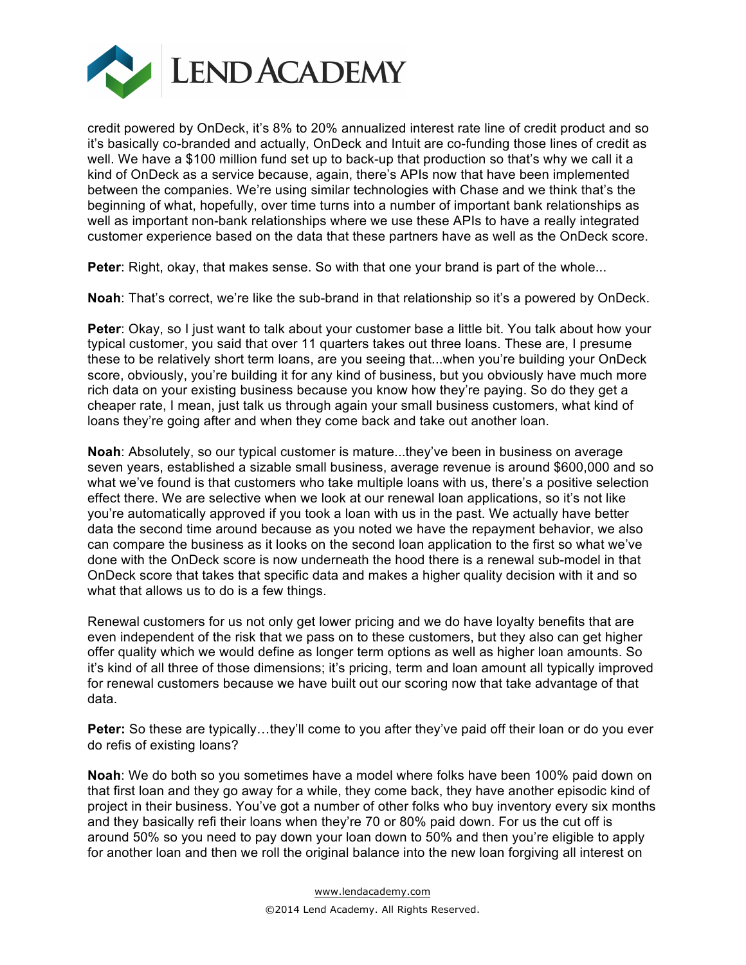

credit powered by OnDeck, it's 8% to 20% annualized interest rate line of credit product and so it's basically co-branded and actually, OnDeck and Intuit are co-funding those lines of credit as well. We have a \$100 million fund set up to back-up that production so that's why we call it a kind of OnDeck as a service because, again, there's APIs now that have been implemented between the companies. We're using similar technologies with Chase and we think that's the beginning of what, hopefully, over time turns into a number of important bank relationships as well as important non-bank relationships where we use these APIs to have a really integrated customer experience based on the data that these partners have as well as the OnDeck score.

**Peter**: Right, okay, that makes sense. So with that one your brand is part of the whole...

**Noah**: That's correct, we're like the sub-brand in that relationship so it's a powered by OnDeck.

**Peter:** Okay, so I just want to talk about your customer base a little bit. You talk about how your typical customer, you said that over 11 quarters takes out three loans. These are, I presume these to be relatively short term loans, are you seeing that...when you're building your OnDeck score, obviously, you're building it for any kind of business, but you obviously have much more rich data on your existing business because you know how they're paying. So do they get a cheaper rate, I mean, just talk us through again your small business customers, what kind of loans they're going after and when they come back and take out another loan.

**Noah**: Absolutely, so our typical customer is mature...they've been in business on average seven years, established a sizable small business, average revenue is around \$600,000 and so what we've found is that customers who take multiple loans with us, there's a positive selection effect there. We are selective when we look at our renewal loan applications, so it's not like you're automatically approved if you took a loan with us in the past. We actually have better data the second time around because as you noted we have the repayment behavior, we also can compare the business as it looks on the second loan application to the first so what we've done with the OnDeck score is now underneath the hood there is a renewal sub-model in that OnDeck score that takes that specific data and makes a higher quality decision with it and so what that allows us to do is a few things.

Renewal customers for us not only get lower pricing and we do have loyalty benefits that are even independent of the risk that we pass on to these customers, but they also can get higher offer quality which we would define as longer term options as well as higher loan amounts. So it's kind of all three of those dimensions; it's pricing, term and loan amount all typically improved for renewal customers because we have built out our scoring now that take advantage of that data.

**Peter:** So these are typically…they'll come to you after they've paid off their loan or do you ever do refis of existing loans?

**Noah**: We do both so you sometimes have a model where folks have been 100% paid down on that first loan and they go away for a while, they come back, they have another episodic kind of project in their business. You've got a number of other folks who buy inventory every six months and they basically refi their loans when they're 70 or 80% paid down. For us the cut off is around 50% so you need to pay down your loan down to 50% and then you're eligible to apply for another loan and then we roll the original balance into the new loan forgiving all interest on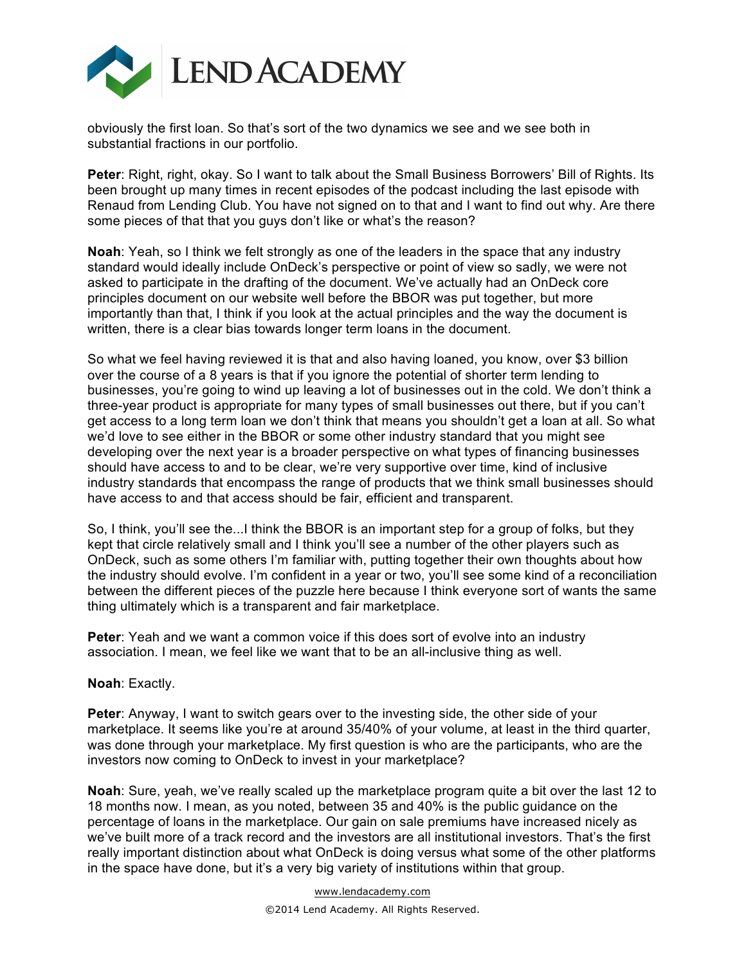

obviously the first loan. So that's sort of the two dynamics we see and we see both in substantial fractions in our portfolio.

**Peter**: Right, right, okay. So I want to talk about the Small Business Borrowers' Bill of Rights. Its been brought up many times in recent episodes of the podcast including the last episode with Renaud from Lending Club. You have not signed on to that and I want to find out why. Are there some pieces of that that you guys don't like or what's the reason?

**Noah**: Yeah, so I think we felt strongly as one of the leaders in the space that any industry standard would ideally include OnDeck's perspective or point of view so sadly, we were not asked to participate in the drafting of the document. We've actually had an OnDeck core principles document on our website well before the BBOR was put together, but more importantly than that, I think if you look at the actual principles and the way the document is written, there is a clear bias towards longer term loans in the document.

So what we feel having reviewed it is that and also having loaned, you know, over \$3 billion over the course of a 8 years is that if you ignore the potential of shorter term lending to businesses, you're going to wind up leaving a lot of businesses out in the cold. We don't think a three-year product is appropriate for many types of small businesses out there, but if you can't get access to a long term loan we don't think that means you shouldn't get a loan at all. So what we'd love to see either in the BBOR or some other industry standard that you might see developing over the next year is a broader perspective on what types of financing businesses should have access to and to be clear, we're very supportive over time, kind of inclusive industry standards that encompass the range of products that we think small businesses should have access to and that access should be fair, efficient and transparent.

So, I think, you'll see the...I think the BBOR is an important step for a group of folks, but they kept that circle relatively small and I think you'll see a number of the other players such as OnDeck, such as some others I'm familiar with, putting together their own thoughts about how the industry should evolve. I'm confident in a year or two, you'll see some kind of a reconciliation between the different pieces of the puzzle here because I think everyone sort of wants the same thing ultimately which is a transparent and fair marketplace.

**Peter**: Yeah and we want a common voice if this does sort of evolve into an industry association. I mean, we feel like we want that to be an all-inclusive thing as well.

### **Noah**: Exactly.

**Peter**: Anyway, I want to switch gears over to the investing side, the other side of your marketplace. It seems like you're at around 35/40% of your volume, at least in the third quarter, was done through your marketplace. My first question is who are the participants, who are the investors now coming to OnDeck to invest in your marketplace?

**Noah**: Sure, yeah, we've really scaled up the marketplace program quite a bit over the last 12 to 18 months now. I mean, as you noted, between 35 and 40% is the public guidance on the percentage of loans in the marketplace. Our gain on sale premiums have increased nicely as we've built more of a track record and the investors are all institutional investors. That's the first really important distinction about what OnDeck is doing versus what some of the other platforms in the space have done, but it's a very big variety of institutions within that group.

> www.lendacademy.com ©2014 Lend Academy. All Rights Reserved.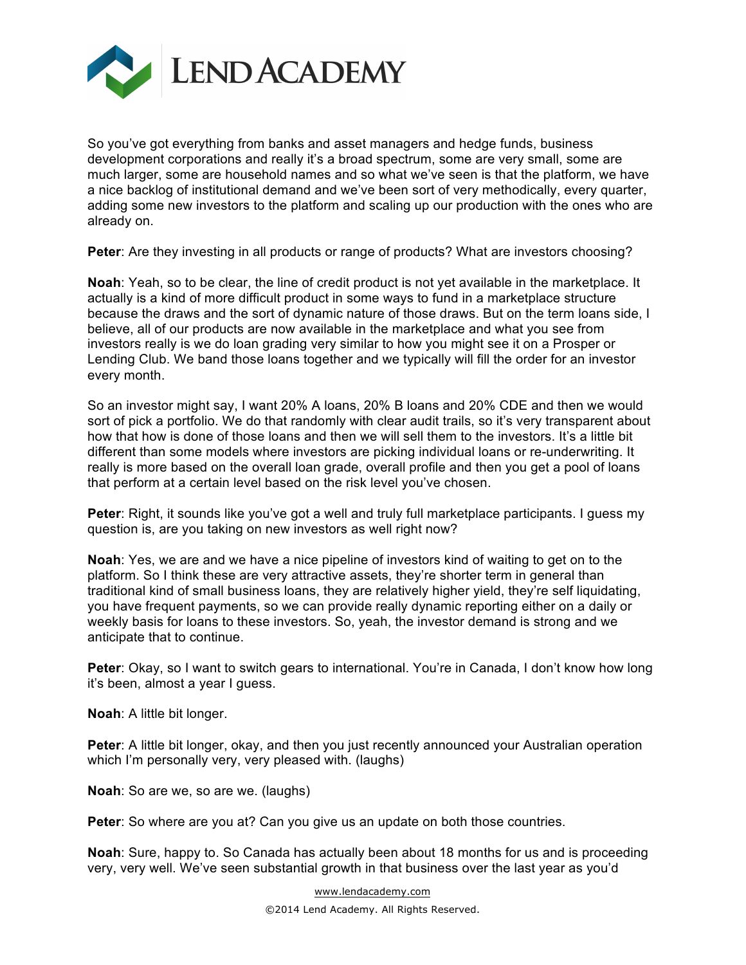

So you've got everything from banks and asset managers and hedge funds, business development corporations and really it's a broad spectrum, some are very small, some are much larger, some are household names and so what we've seen is that the platform, we have a nice backlog of institutional demand and we've been sort of very methodically, every quarter, adding some new investors to the platform and scaling up our production with the ones who are already on.

**Peter:** Are they investing in all products or range of products? What are investors choosing?

**Noah**: Yeah, so to be clear, the line of credit product is not yet available in the marketplace. It actually is a kind of more difficult product in some ways to fund in a marketplace structure because the draws and the sort of dynamic nature of those draws. But on the term loans side, I believe, all of our products are now available in the marketplace and what you see from investors really is we do loan grading very similar to how you might see it on a Prosper or Lending Club. We band those loans together and we typically will fill the order for an investor every month.

So an investor might say, I want 20% A loans, 20% B loans and 20% CDE and then we would sort of pick a portfolio. We do that randomly with clear audit trails, so it's very transparent about how that how is done of those loans and then we will sell them to the investors. It's a little bit different than some models where investors are picking individual loans or re-underwriting. It really is more based on the overall loan grade, overall profile and then you get a pool of loans that perform at a certain level based on the risk level you've chosen.

**Peter**: Right, it sounds like you've got a well and truly full marketplace participants. I guess my question is, are you taking on new investors as well right now?

**Noah**: Yes, we are and we have a nice pipeline of investors kind of waiting to get on to the platform. So I think these are very attractive assets, they're shorter term in general than traditional kind of small business loans, they are relatively higher yield, they're self liquidating, you have frequent payments, so we can provide really dynamic reporting either on a daily or weekly basis for loans to these investors. So, yeah, the investor demand is strong and we anticipate that to continue.

**Peter**: Okay, so I want to switch gears to international. You're in Canada, I don't know how long it's been, almost a year I guess.

**Noah**: A little bit longer.

**Peter**: A little bit longer, okay, and then you just recently announced your Australian operation which I'm personally very, very pleased with. (laughs)

**Noah**: So are we, so are we. (laughs)

Peter: So where are you at? Can you give us an update on both those countries.

**Noah**: Sure, happy to. So Canada has actually been about 18 months for us and is proceeding very, very well. We've seen substantial growth in that business over the last year as you'd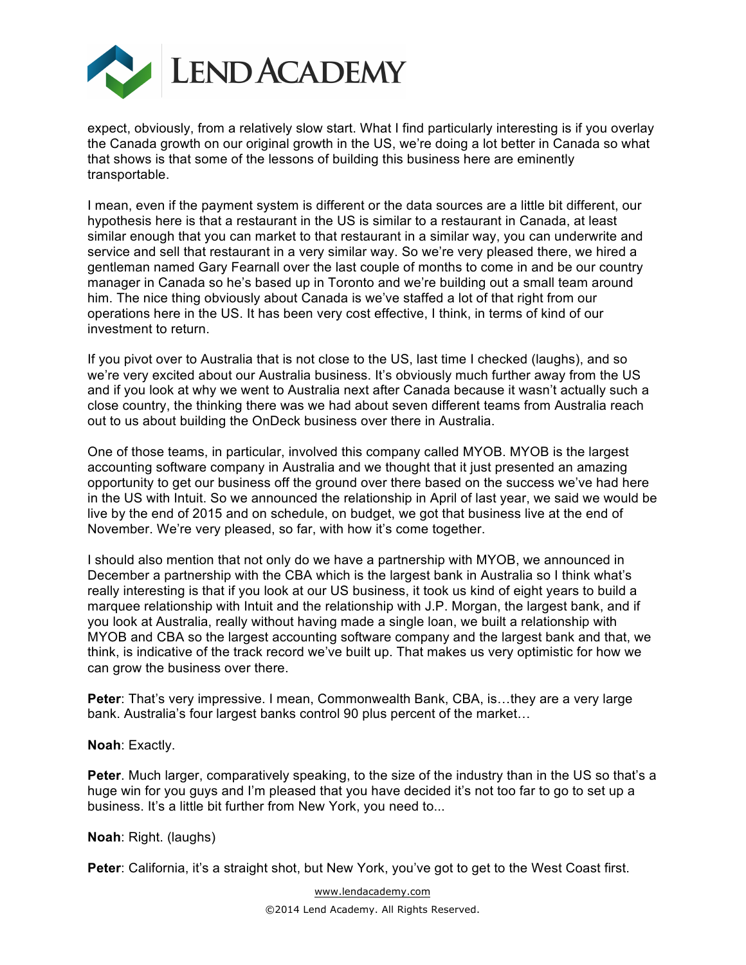

expect, obviously, from a relatively slow start. What I find particularly interesting is if you overlay the Canada growth on our original growth in the US, we're doing a lot better in Canada so what that shows is that some of the lessons of building this business here are eminently transportable.

I mean, even if the payment system is different or the data sources are a little bit different, our hypothesis here is that a restaurant in the US is similar to a restaurant in Canada, at least similar enough that you can market to that restaurant in a similar way, you can underwrite and service and sell that restaurant in a very similar way. So we're very pleased there, we hired a gentleman named Gary Fearnall over the last couple of months to come in and be our country manager in Canada so he's based up in Toronto and we're building out a small team around him. The nice thing obviously about Canada is we've staffed a lot of that right from our operations here in the US. It has been very cost effective, I think, in terms of kind of our investment to return.

If you pivot over to Australia that is not close to the US, last time I checked (laughs), and so we're very excited about our Australia business. It's obviously much further away from the US and if you look at why we went to Australia next after Canada because it wasn't actually such a close country, the thinking there was we had about seven different teams from Australia reach out to us about building the OnDeck business over there in Australia.

One of those teams, in particular, involved this company called MYOB. MYOB is the largest accounting software company in Australia and we thought that it just presented an amazing opportunity to get our business off the ground over there based on the success we've had here in the US with Intuit. So we announced the relationship in April of last year, we said we would be live by the end of 2015 and on schedule, on budget, we got that business live at the end of November. We're very pleased, so far, with how it's come together.

I should also mention that not only do we have a partnership with MYOB, we announced in December a partnership with the CBA which is the largest bank in Australia so I think what's really interesting is that if you look at our US business, it took us kind of eight years to build a marquee relationship with Intuit and the relationship with J.P. Morgan, the largest bank, and if you look at Australia, really without having made a single loan, we built a relationship with MYOB and CBA so the largest accounting software company and the largest bank and that, we think, is indicative of the track record we've built up. That makes us very optimistic for how we can grow the business over there.

**Peter**: That's very impressive. I mean, Commonwealth Bank, CBA, is…they are a very large bank. Australia's four largest banks control 90 plus percent of the market…

### **Noah**: Exactly.

**Peter**. Much larger, comparatively speaking, to the size of the industry than in the US so that's a huge win for you guys and I'm pleased that you have decided it's not too far to go to set up a business. It's a little bit further from New York, you need to...

### **Noah**: Right. (laughs)

**Peter**: California, it's a straight shot, but New York, you've got to get to the West Coast first.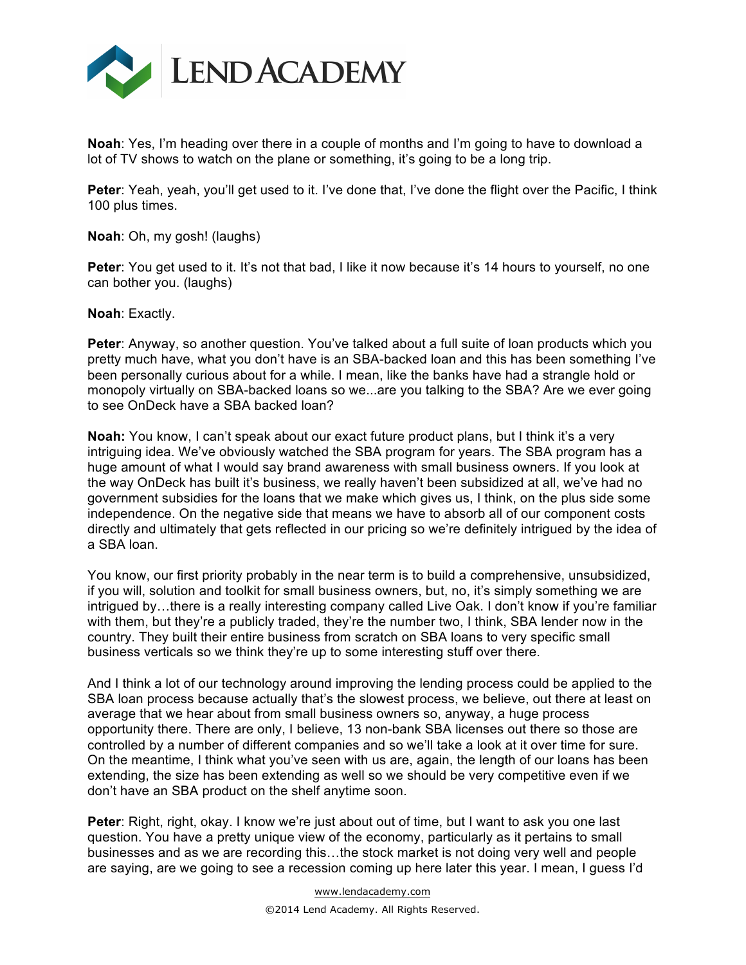

**Noah**: Yes, I'm heading over there in a couple of months and I'm going to have to download a lot of TV shows to watch on the plane or something, it's going to be a long trip.

**Peter**: Yeah, yeah, you'll get used to it. I've done that, I've done the flight over the Pacific, I think 100 plus times.

**Noah**: Oh, my gosh! (laughs)

**Peter:** You get used to it. It's not that bad, I like it now because it's 14 hours to yourself, no one can bother you. (laughs)

**Noah**: Exactly.

**Peter**: Anyway, so another question. You've talked about a full suite of loan products which you pretty much have, what you don't have is an SBA-backed loan and this has been something I've been personally curious about for a while. I mean, like the banks have had a strangle hold or monopoly virtually on SBA-backed loans so we...are you talking to the SBA? Are we ever going to see OnDeck have a SBA backed loan?

**Noah:** You know, I can't speak about our exact future product plans, but I think it's a very intriguing idea. We've obviously watched the SBA program for years. The SBA program has a huge amount of what I would say brand awareness with small business owners. If you look at the way OnDeck has built it's business, we really haven't been subsidized at all, we've had no government subsidies for the loans that we make which gives us, I think, on the plus side some independence. On the negative side that means we have to absorb all of our component costs directly and ultimately that gets reflected in our pricing so we're definitely intrigued by the idea of a SBA loan.

You know, our first priority probably in the near term is to build a comprehensive, unsubsidized, if you will, solution and toolkit for small business owners, but, no, it's simply something we are intrigued by…there is a really interesting company called Live Oak. I don't know if you're familiar with them, but they're a publicly traded, they're the number two, I think, SBA lender now in the country. They built their entire business from scratch on SBA loans to very specific small business verticals so we think they're up to some interesting stuff over there.

And I think a lot of our technology around improving the lending process could be applied to the SBA loan process because actually that's the slowest process, we believe, out there at least on average that we hear about from small business owners so, anyway, a huge process opportunity there. There are only, I believe, 13 non-bank SBA licenses out there so those are controlled by a number of different companies and so we'll take a look at it over time for sure. On the meantime, I think what you've seen with us are, again, the length of our loans has been extending, the size has been extending as well so we should be very competitive even if we don't have an SBA product on the shelf anytime soon.

**Peter**: Right, right, okay. I know we're just about out of time, but I want to ask you one last question. You have a pretty unique view of the economy, particularly as it pertains to small businesses and as we are recording this…the stock market is not doing very well and people are saying, are we going to see a recession coming up here later this year. I mean, I guess I'd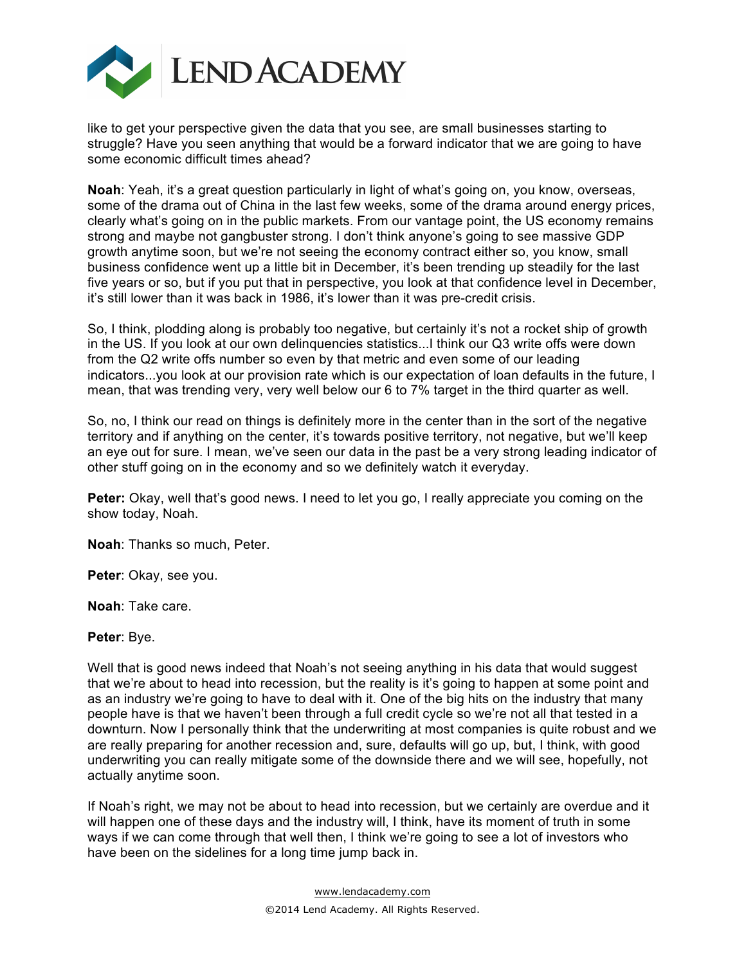

like to get your perspective given the data that you see, are small businesses starting to struggle? Have you seen anything that would be a forward indicator that we are going to have some economic difficult times ahead?

**Noah**: Yeah, it's a great question particularly in light of what's going on, you know, overseas, some of the drama out of China in the last few weeks, some of the drama around energy prices, clearly what's going on in the public markets. From our vantage point, the US economy remains strong and maybe not gangbuster strong. I don't think anyone's going to see massive GDP growth anytime soon, but we're not seeing the economy contract either so, you know, small business confidence went up a little bit in December, it's been trending up steadily for the last five years or so, but if you put that in perspective, you look at that confidence level in December, it's still lower than it was back in 1986, it's lower than it was pre-credit crisis.

So, I think, plodding along is probably too negative, but certainly it's not a rocket ship of growth in the US. If you look at our own delinquencies statistics...I think our Q3 write offs were down from the Q2 write offs number so even by that metric and even some of our leading indicators...you look at our provision rate which is our expectation of loan defaults in the future, I mean, that was trending very, very well below our 6 to 7% target in the third quarter as well.

So, no, I think our read on things is definitely more in the center than in the sort of the negative territory and if anything on the center, it's towards positive territory, not negative, but we'll keep an eye out for sure. I mean, we've seen our data in the past be a very strong leading indicator of other stuff going on in the economy and so we definitely watch it everyday.

**Peter:** Okay, well that's good news. I need to let you go, I really appreciate you coming on the show today, Noah.

**Noah**: Thanks so much, Peter.

**Peter**: Okay, see you.

**Noah**: Take care.

**Peter**: Bye.

Well that is good news indeed that Noah's not seeing anything in his data that would suggest that we're about to head into recession, but the reality is it's going to happen at some point and as an industry we're going to have to deal with it. One of the big hits on the industry that many people have is that we haven't been through a full credit cycle so we're not all that tested in a downturn. Now I personally think that the underwriting at most companies is quite robust and we are really preparing for another recession and, sure, defaults will go up, but, I think, with good underwriting you can really mitigate some of the downside there and we will see, hopefully, not actually anytime soon.

If Noah's right, we may not be about to head into recession, but we certainly are overdue and it will happen one of these days and the industry will, I think, have its moment of truth in some ways if we can come through that well then, I think we're going to see a lot of investors who have been on the sidelines for a long time jump back in.